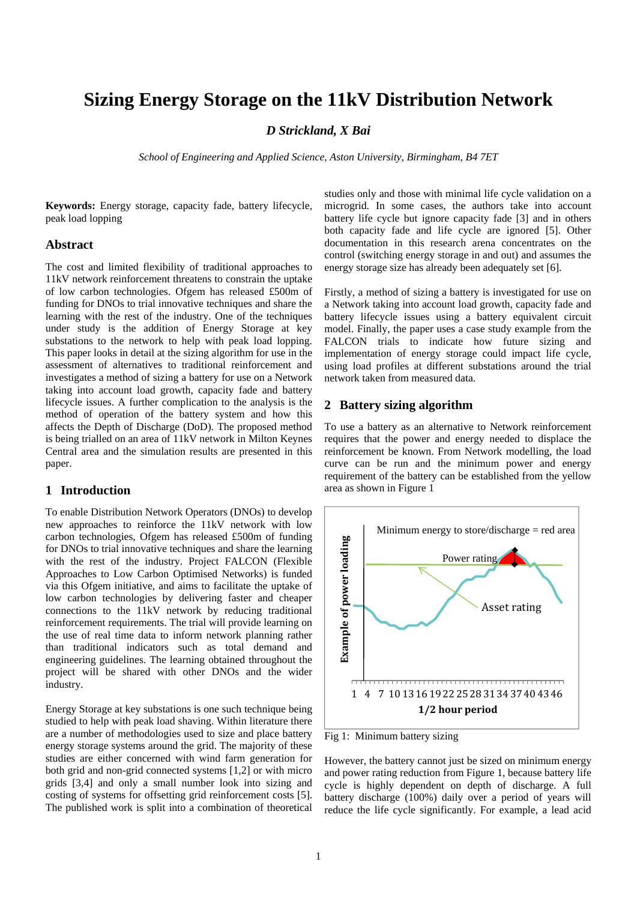# **Sizing Energy Storage on the 11kV Distribution Network**

# *D Strickland, X Bai*

*School of Engineering and Applied Science, Aston University, Birmingham, B4 7ET*

**Keywords:** Energy storage, capacity fade, battery lifecycle, peak load lopping

#### **Abstract**

The cost and limited flexibility of traditional approaches to 11kV network reinforcement threatens to constrain the uptake of low carbon technologies. Ofgem has released £500m of funding for DNOs to trial innovative techniques and share the learning with the rest of the industry. One of the techniques under study is the addition of Energy Storage at key substations to the network to help with peak load lopping. This paper looks in detail at the sizing algorithm for use in the assessment of alternatives to traditional reinforcement and investigates a method of sizing a battery for use on a Network taking into account load growth, capacity fade and battery lifecycle issues. A further complication to the analysis is the method of operation of the battery system and how this affects the Depth of Discharge (DoD). The proposed method is being trialled on an area of 11kV network in Milton Keynes Central area and the simulation results are presented in this paper.

# **1 Introduction**

To enable Distribution Network Operators (DNOs) to develop new approaches to reinforce the 11kV network with low carbon technologies, Ofgem has released £500m of funding for DNOs to trial innovative techniques and share the learning with the rest of the industry. Project FALCON (Flexible Approaches to Low Carbon Optimised Networks) is funded via this Ofgem initiative, and aims to facilitate the uptake of low carbon technologies by delivering faster and cheaper connections to the 11kV network by reducing traditional reinforcement requirements. The trial will provide learning on the use of real time data to inform network planning rather than traditional indicators such as total demand and engineering guidelines. The learning obtained throughout the project will be shared with other DNOs and the wider industry.

Energy Storage at key substations is one such technique being studied to help with peak load shaving. Within literature there are a number of methodologies used to size and place battery energy storage systems around the grid. The majority of these studies are either concerned with wind farm generation for both grid and non-grid connected systems [1,2] or with micro grids [3,4] and only a small number look into sizing and costing of systems for offsetting grid reinforcement costs [5]. The published work is split into a combination of theoretical

studies only and those with minimal life cycle validation on a microgrid. In some cases, the authors take into account battery life cycle but ignore capacity fade [3] and in others both capacity fade and life cycle are ignored [5]. Other documentation in this research arena concentrates on the control (switching energy storage in and out) and assumes the energy storage size has already been adequately set [6].

Firstly, a method of sizing a battery is investigated for use on a Network taking into account load growth, capacity fade and battery lifecycle issues using a battery equivalent circuit model. Finally, the paper uses a case study example from the FALCON trials to indicate how future sizing and implementation of energy storage could impact life cycle, using load profiles at different substations around the trial network taken from measured data.

# **2 Battery sizing algorithm**

To use a battery as an alternative to Network reinforcement requires that the power and energy needed to displace the reinforcement be known. From Network modelling, the load curve can be run and the minimum power and energy requirement of the battery can be established from the yellow area as shown in Figure 1



Fig 1: Minimum battery sizing

However, the battery cannot just be sized on minimum energy and power rating reduction from Figure 1, because battery life cycle is highly dependent on depth of discharge. A full battery discharge (100%) daily over a period of years will reduce the life cycle significantly. For example, a lead acid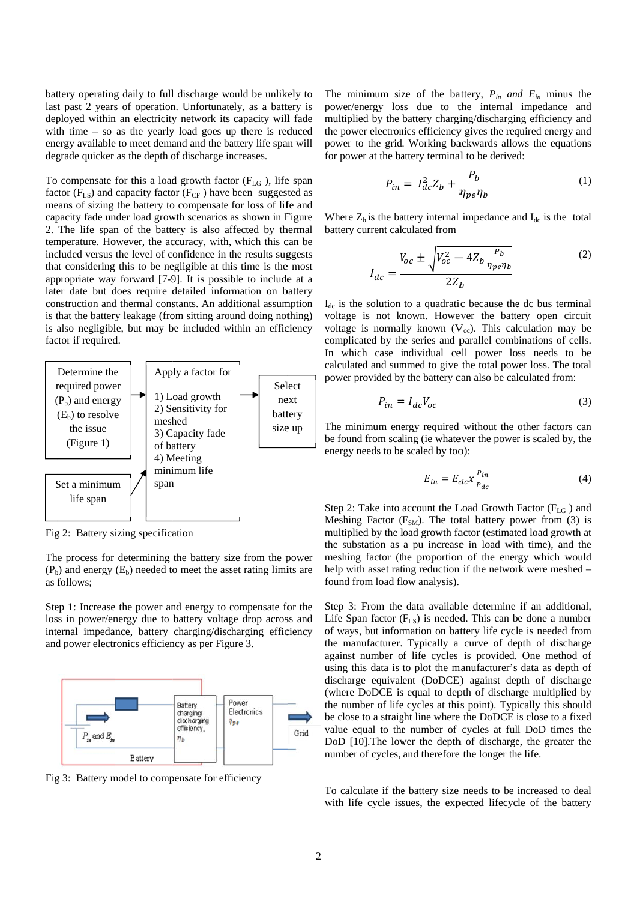battery operating daily to full discharge would be unlikely to last past 2 years of operation. Unfortunately, as a battery is deployed within an electricity network its capacity will fade with time  $-$  so as the yearly load goes up there is reduced energy available to meet demand and the battery life span will degrade quicker as the depth of discharge increases.

To compensate for this a load growth factor  $(F_{LG})$ , life span factor  $(F_{LS})$  and capacity factor  $(F_{CF})$  have been suggested as means of sizing the battery to compensate for loss of life and capacity fade under load growth scenarios as shown in Figure 2. The life span of the battery is also affected by thermal temperature. However, the accuracy, with, which this can be included versus the level of confidence in the results suggests that considering this to be negligible at this time is the most appropriate way forward [7-9]. It is possible to include at a later date but does require detailed information on battery construction and thermal constants. An additional assumption is that the battery leakage (from sitting around doing nothing) is also negligible, but may be included within an efficiency factor if required.



Fig 2: Battery sizing specification

The process for determining the battery size from the power  $(P<sub>b</sub>)$  and energy  $(E<sub>b</sub>)$  needed to meet the asset rating limits are as follows:

Step 1: Increase the power and energy to compensate for the loss in power/energy due to battery voltage drop across and internal impedance, battery charging/discharging efficiency and power electronics efficiency as per Figure 3.



Fig 3: Battery model to compensate for efficiency

The minimum size of the battery,  $P_{in}$  and  $E_{in}$  minus the power/energy loss due to the internal impedance and multiplied by the battery charging/discharging efficiency and the power electronics efficiency gives the required energy and power to the grid. Working backwards allows the equations for power at the battery terminal to be derived:

$$
P_{in} = I_{dc}^2 Z_b + \frac{P_b}{\eta_{pe} \eta_b} \tag{1}
$$

Where  $Z_b$  is the battery internal impedance and  $I_{dc}$  is the total battery current calculated from

$$
I_{dc} = \frac{V_{oc} \pm \sqrt{V_{oc}^2 - 4Z_b \frac{P_b}{\eta_{pe} \eta_b}}}{2Z_b}
$$
 (2)

 $I_{dc}$  is the solution to a quadratic because the dc bus terminal voltage is not known. However the battery open circuit voltage is normally known  $(V_{oc})$ . This calculation may be complicated by the series and parallel combinations of cells. In which case individual cell power loss needs to be calculated and summed to give the total power loss. The total power provided by the battery can also be calculated from:

$$
P_{in} = I_{dc}V_{oc}
$$
 (3)

The minimum energy required without the other factors can be found from scaling (ie whatever the power is scaled by, the energy needs to be scaled by too):

$$
E_{in} = E_{dc} x \frac{P_{in}}{P_{dc}}
$$
 (4)

Step 2: Take into account the Load Growth Factor (F<sub>LG</sub>) and Meshing Factor  $(F_{SM})$ . The total battery power from (3) is multiplied by the load growth factor (estimated load growth at the substation as a pu increase in load with time), and the meshing factor (the proportion of the energy which would help with asset rating reduction if the network were meshed – found from load flow analysis).

Step 3: From the data available determine if an additional, Life Span factor  $(F_{LS})$  is needed. This can be done a number of ways, but information on battery life cycle is needed from the manufacturer. Typically a curve of depth of discharge against number of life cycles is provided. One method of using this data is to plot the manufacturer's data as depth of discharge equivalent (DoDCE) against depth of discharge (where DoDCE is equal to depth of discharge multiplied by the number of life cycles at this point). Typically this should be close to a straight line where the DoDCE is close to a fixed value equal to the number of cycles at full DoD times the DoD [10]. The lower the depth of discharge, the greater the number of cycles, and therefore the longer the life.

To calculate if the battery size needs to be increased to deal with life cycle issues, the expected lifecycle of the battery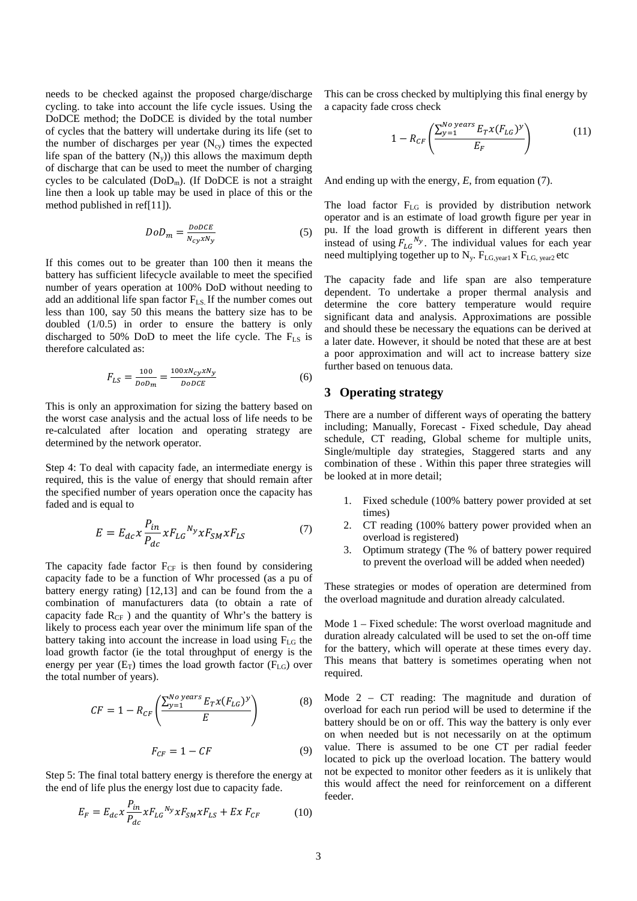needs to be checked against the proposed charge/discharge cycling. to take into account the life cycle issues. Using the DoDCE method; the DoDCE is divided by the total number of cycles that the battery will undertake during its life (set to the number of discharges per year  $(N_{\rm cv})$  times the expected life span of the battery  $(N_y)$ ) this allows the maximum depth of discharge that can be used to meet the number of charging cycles to be calculated  $(DoD<sub>m</sub>)$ . (If DoDCE is not a straight line then a look up table may be used in place of this or the method published in ref[11]).

$$
DoD_m = \frac{DoDCE}{N_{cy}xN_y}
$$
 (5)

If this comes out to be greater than 100 then it means the battery has sufficient lifecycle available to meet the specified number of years operation at 100% DoD without needing to add an additional life span factor  $F_{LS}$  If the number comes out less than 100, say 50 this means the battery size has to be doubled (1/0.5) in order to ensure the battery is only discharged to 50% DoD to meet the life cycle. The  $F_{LS}$  is therefore calculated as:

$$
F_{LS} = \frac{100}{DoD_m} = \frac{100xN_{cy}xN_y}{DoDCE}
$$
 (6)

This is only an approximation for sizing the battery based on the worst case analysis and the actual loss of life needs to be re-calculated after location and operating strategy are determined by the network operator.

Step 4: To deal with capacity fade, an intermediate energy is required, this is the value of energy that should remain after the specified number of years operation once the capacity has faded and is equal to

$$
E = E_{dc} x \frac{P_{in}}{P_{dc}} x F_{LG}{}^{N_y} x F_{SM} x F_{LS}
$$
 (7)

The capacity fade factor  $F_{CF}$  is then found by considering capacity fade to be a function of Whr processed (as a pu of battery energy rating) [12,13] and can be found from the a combination of manufacturers data (to obtain a rate of capacity fade  $R_{CF}$ ) and the quantity of Whr's the battery is likely to process each year over the minimum life span of the battery taking into account the increase in load using  $F_{LG}$  the load growth factor (ie the total throughput of energy is the energy per year  $(E_T)$  times the load growth factor  $(F_{LG})$  over the total number of years).

$$
CF = 1 - R_{CF} \left( \frac{\sum_{y=1}^{No\ years} E_T x (F_{LG})^y}{E} \right) \tag{8}
$$

$$
F_{CF} = 1 - CF \tag{9}
$$

Step 5: The final total battery energy is therefore the energy at the end of life plus the energy lost due to capacity fade.

$$
E_F = E_{dc} x \frac{P_{in}}{P_{dc}} x F_{LG}{}^{N_y} x F_{SM} x F_{LS} + E x F_{CF}
$$
 (10)

This can be cross checked by multiplying this final energy by a capacity fade cross check

$$
1 - R_{CF} \left( \frac{\sum_{y=1}^{No\ years} E_T x (F_{LG})^y}{E_F} \right) \tag{11}
$$

And ending up with the energy, *E*, from equation (7).

The load factor F<sub>LG</sub> is provided by distribution network operator and is an estimate of load growth figure per year in pu. If the load growth is different in different years then instead of using  $F_{LG}^{N_y}$ . The individual values for each year need multiplying together up to  $N_{y}$ .  $F_{LG, year1}$  x  $F_{LG, year2}$  etc

The capacity fade and life span are also temperature dependent. To undertake a proper thermal analysis and determine the core battery temperature would require significant data and analysis. Approximations are possible and should these be necessary the equations can be derived at a later date. However, it should be noted that these are at best a poor approximation and will act to increase battery size further based on tenuous data.

#### **3 Operating strategy**

There are a number of different ways of operating the battery including; Manually, Forecast - Fixed schedule, Day ahead schedule, CT reading, Global scheme for multiple units, Single/multiple day strategies, Staggered starts and any combination of these . Within this paper three strategies will be looked at in more detail;

- 1. Fixed schedule (100% battery power provided at set times)
- 2. CT reading (100% battery power provided when an overload is registered)
- 3. Optimum strategy (The % of battery power required to prevent the overload will be added when needed)

These strategies or modes of operation are determined from the overload magnitude and duration already calculated.

Mode 1 – Fixed schedule: The worst overload magnitude and duration already calculated will be used to set the on-off time for the battery, which will operate at these times every day. This means that battery is sometimes operating when not required.

Mode 2 – CT reading: The magnitude and duration of overload for each run period will be used to determine if the battery should be on or off. This way the battery is only ever on when needed but is not necessarily on at the optimum value. There is assumed to be one CT per radial feeder located to pick up the overload location. The battery would not be expected to monitor other feeders as it is unlikely that this would affect the need for reinforcement on a different feeder.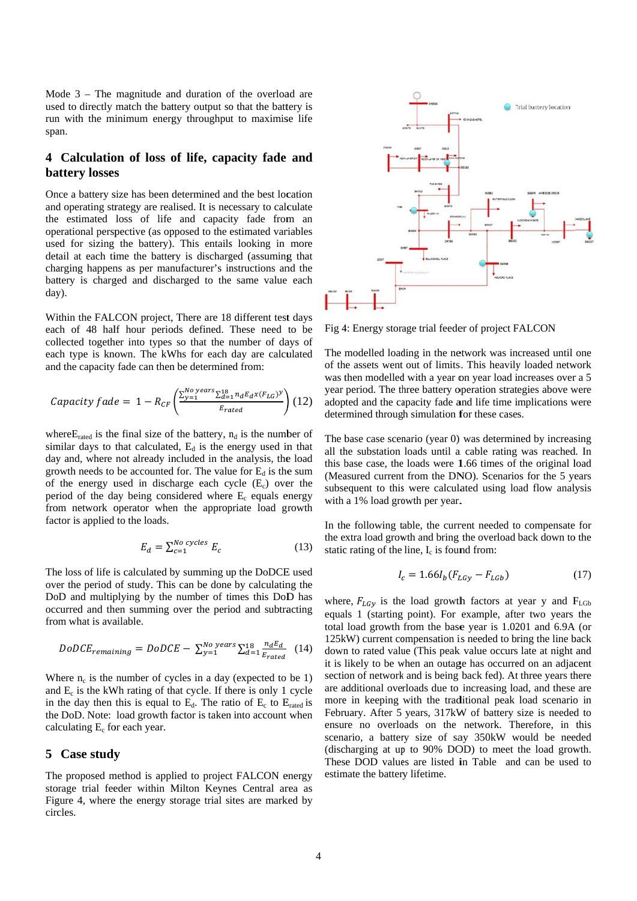Mode  $3$  – The magnitude and duration of the overload are used to directly match the battery output so that the battery is run with the minimum energy throughput to maximise life span.

# 4 Calculation of loss of life, capacity fade and **battery** losses

Once a battery size has been determined and the best location and operating strategy are realised. It is necessary to calculate the estimated loss of life and capacity fade from an operational perspective (as opposed to the estimated variables used for sizing the battery). This entails looking in more detail at each time the battery is discharged (assuming that charging happens as per manufacturer's instructions and the battery is charged and discharged to the same value each day).

Within the FALCON project, There are 18 different test days each of 48 half hour periods defined. These need to be collected together into types so that the number of days of each type is known. The kWhs for each day are calculated and the capacity fade can then be determined from:

$$
Capacity\,fade = 1 - R_{CF}\left(\frac{\sum_{y=1}^{No\,years} \sum_{d=1}^{18} n_d E_d x (F_{LG})^y}{E_{rated}}\right) (12)
$$

where  $E_{\text{rated}}$  is the final size of the battery,  $n_d$  is the number of similar days to that calculated,  $E_d$  is the energy used in that day and, where not already included in the analysis, the load growth needs to be accounted for. The value for  $E_d$  is the sum of the energy used in discharge each cycle  $(E_c)$  over the period of the day being considered where  $E_c$  equals energy from network operator when the appropriate load growth factor is applied to the loads.

$$
E_d = \sum_{c=1}^{No\ cycles} E_c \tag{13}
$$

The loss of life is calculated by summing up the DoDCE used over the period of study. This can be done by calculating the DoD and multiplying by the number of times this DoD has occurred and then summing over the period and subtracting from what is available.

$$
DoDCE_{remaining} = DoDCE - \sum_{y=1}^{No\ years} \sum_{d=1}^{18} \frac{n_d E_d}{E_{rated}} \quad (14)
$$

Where  $n_c$  is the number of cycles in a day (expected to be 1) and  $E_c$  is the kWh rating of that cycle. If there is only 1 cycle in the day then this is equal to  $E_d$ . The ratio of  $E_c$  to  $E_{\text{rated}}$  is the DoD. Note: load growth factor is taken into account when calculating  $E_c$  for each year.

#### $5<sup>5</sup>$ **Case study**

The proposed method is applied to project FALCON energy storage trial feeder within Milton Keynes Central area as Figure 4, where the energy storage trial sites are marked by circles.



Fig 4: Energy storage trial feeder of project FALCON

The modelled loading in the network was increased until one of the assets went out of limits. This heavily loaded network was then modelled with a year on year load increases over a 5 year period. The three battery operation strategies above were adopted and the capacity fade and life time implications were determined through simulation for these cases.

The base case scenario (year 0) was determined by increasing all the substation loads until a cable rating was reached. In this base case, the loads were 1.66 times of the original load (Measured current from the DNO). Scenarios for the 5 years subsequent to this were calculated using load flow analysis with a 1% load growth per year.

In the following table, the current needed to compensate for the extra load growth and bring the overload back down to the static rating of the line,  $I_c$  is found from:

$$
I_c = 1.66I_b(F_{LGV} - F_{LGb})
$$
 (17)

where,  $F_{LGV}$  is the load growth factors at year y and  $F_{LGb}$ equals 1 (starting point). For example, after two years the total load growth from the base year is 1.0201 and 6.9A (or 125kW) current compensation is needed to bring the line back down to rated value (This peak value occurs late at night and it is likely to be when an outage has occurred on an adiacent section of network and is being back fed). At three years there are additional overloads due to increasing load, and these are more in keeping with the traditional peak load scenario in February. After 5 years, 317kW of battery size is needed to ensure no overloads on the network. Therefore, in this scenario, a battery size of say 350kW would be needed (discharging at up to 90% DOD) to meet the load growth. These DOD values are listed in Table and can be used to estimate the battery lifetime.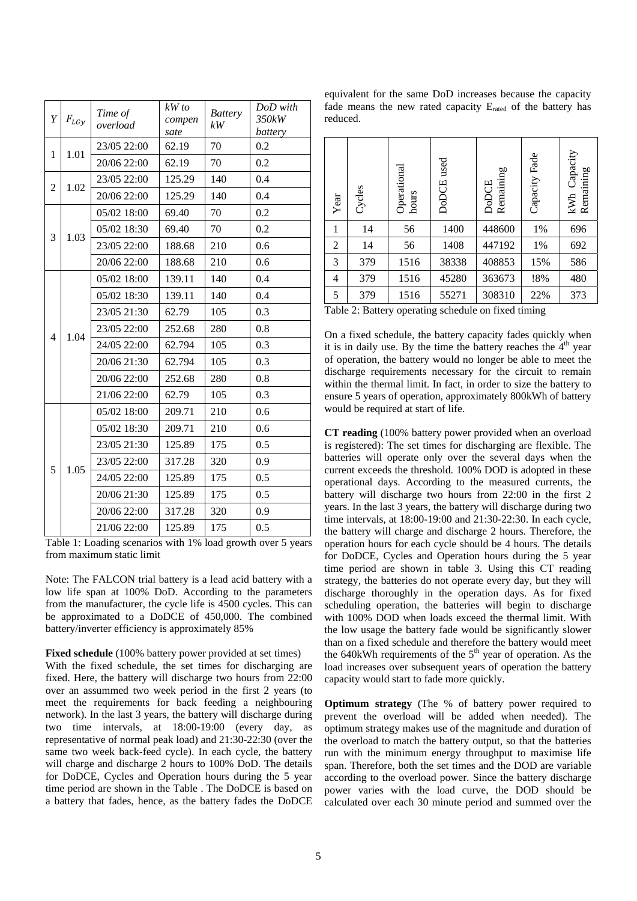| Y                   | $F_{LGy}$                                                                                                                                                                                                                                                                                                                                                                                                                                                                                                                                                                                                                      | Time of<br>overload | $kW$ to<br>compen<br>sate | <b>Battery</b><br>kW | DoD with<br>350kW<br>battery |
|---------------------|--------------------------------------------------------------------------------------------------------------------------------------------------------------------------------------------------------------------------------------------------------------------------------------------------------------------------------------------------------------------------------------------------------------------------------------------------------------------------------------------------------------------------------------------------------------------------------------------------------------------------------|---------------------|---------------------------|----------------------|------------------------------|
|                     |                                                                                                                                                                                                                                                                                                                                                                                                                                                                                                                                                                                                                                | 23/05 22:00         | 62.19                     | 70                   | 0.2                          |
| 1                   |                                                                                                                                                                                                                                                                                                                                                                                                                                                                                                                                                                                                                                | 20/06 22:00         | 62.19                     | 70                   | 0.2                          |
|                     |                                                                                                                                                                                                                                                                                                                                                                                                                                                                                                                                                                                                                                | 23/05 22:00         | 125.29                    | 140                  | 0.4                          |
| 2                   |                                                                                                                                                                                                                                                                                                                                                                                                                                                                                                                                                                                                                                | 20/06 22:00         | 125.29                    | 140                  | 0.4                          |
|                     | 1.01<br>1.02<br>05/02 18:00<br>69.40<br>70<br>05/02 18:30<br>69.40<br>70<br>1.03<br>23/05 22:00<br>210<br>188.68<br>20/06 22:00<br>188.68<br>210<br>140<br>05/02 18:00<br>139.11<br>140<br>05/02 18:30<br>139.11<br>23/05 21:30<br>62.79<br>105<br>23/05 22:00<br>252.68<br>280<br>1.04<br>62.794<br>24/05 22:00<br>105<br>20/06 21:30<br>62.794<br>105<br>20/06 22:00<br>280<br>252.68<br>62.79<br>21/06 22:00<br>105<br>210<br>05/02 18:00<br>209.71<br>209.71<br>05/02 18:30<br>210<br>23/05 21:30<br>175<br>125.89<br>23/05 22:00<br>317.28<br>320<br>1.05<br>175<br>24/05 22:00<br>125.89<br>20/06 21:30<br>125.89<br>175 | 0.2                 |                           |                      |                              |
| 3<br>$\overline{4}$ |                                                                                                                                                                                                                                                                                                                                                                                                                                                                                                                                                                                                                                |                     | 0.2                       |                      |                              |
|                     |                                                                                                                                                                                                                                                                                                                                                                                                                                                                                                                                                                                                                                |                     |                           |                      | 0.6                          |
|                     |                                                                                                                                                                                                                                                                                                                                                                                                                                                                                                                                                                                                                                |                     |                           |                      | 0.6                          |
|                     |                                                                                                                                                                                                                                                                                                                                                                                                                                                                                                                                                                                                                                |                     |                           |                      | 0.4                          |
|                     |                                                                                                                                                                                                                                                                                                                                                                                                                                                                                                                                                                                                                                |                     |                           |                      | 0.4                          |
|                     |                                                                                                                                                                                                                                                                                                                                                                                                                                                                                                                                                                                                                                |                     |                           |                      | 0.3                          |
|                     |                                                                                                                                                                                                                                                                                                                                                                                                                                                                                                                                                                                                                                |                     |                           |                      | 0.8                          |
|                     |                                                                                                                                                                                                                                                                                                                                                                                                                                                                                                                                                                                                                                |                     |                           |                      | 0.3                          |
|                     |                                                                                                                                                                                                                                                                                                                                                                                                                                                                                                                                                                                                                                |                     |                           |                      | 0.3                          |
|                     |                                                                                                                                                                                                                                                                                                                                                                                                                                                                                                                                                                                                                                |                     |                           |                      | 0.8                          |
|                     |                                                                                                                                                                                                                                                                                                                                                                                                                                                                                                                                                                                                                                |                     |                           |                      | 0.3                          |
|                     |                                                                                                                                                                                                                                                                                                                                                                                                                                                                                                                                                                                                                                |                     |                           |                      | 0.6                          |
|                     |                                                                                                                                                                                                                                                                                                                                                                                                                                                                                                                                                                                                                                |                     |                           |                      | 0.6                          |
| 5                   |                                                                                                                                                                                                                                                                                                                                                                                                                                                                                                                                                                                                                                |                     |                           |                      | 0.5                          |
|                     |                                                                                                                                                                                                                                                                                                                                                                                                                                                                                                                                                                                                                                |                     |                           |                      | 0.9                          |
|                     |                                                                                                                                                                                                                                                                                                                                                                                                                                                                                                                                                                                                                                |                     |                           |                      | 0.5                          |
|                     |                                                                                                                                                                                                                                                                                                                                                                                                                                                                                                                                                                                                                                |                     |                           |                      | 0.5                          |
|                     |                                                                                                                                                                                                                                                                                                                                                                                                                                                                                                                                                                                                                                | 20/06 22:00         | 317.28                    | 320                  | 0.9                          |
|                     |                                                                                                                                                                                                                                                                                                                                                                                                                                                                                                                                                                                                                                | 21/06 22:00         | 125.89                    | 175                  | 0.5                          |

Table 1: Loading scenarios with 1% load growth over 5 years from maximum static limit

Note: The FALCON trial battery is a lead acid battery with a low life span at 100% DoD. According to the parameters from the manufacturer, the cycle life is 4500 cycles. This can be approximated to a DoDCE of 450,000. The combined battery/inverter efficiency is approximately 85%

Fixed schedule (100% battery power provided at set times) With the fixed schedule, the set times for discharging are fixed. Here, the battery will discharge two hours from 22:00 over an assummed two week period in the first 2 years (to meet the requirements for back feeding a neighbouring network). In the last 3 years, the battery will discharge during two time intervals, at 18:00-19:00 (every day, as representative of normal peak load) and 21:30-22:30 (over the same two week back-feed cycle). In each cycle, the battery will charge and discharge 2 hours to 100% DoD. The details for DoDCE, Cycles and Operation hours during the 5 year time period are shown in the Table . The DoDCE is based on a battery that fades, hence, as the battery fades the DoDCE

equivalent for the same DoD increases because the capacity fade means the new rated capacity  $E_{\text{rated}}$  of the battery has reduced.

| Year           | Cycles | Operational<br>hours | DoDCE used | Remaining<br><b>DoDCE</b> | Capacity Fade | Capacity<br>Remaining<br>kWh |
|----------------|--------|----------------------|------------|---------------------------|---------------|------------------------------|
| 1              | 14     | 56                   | 1400       | 448600                    | 1%            | 696                          |
| 2              | 14     | 56                   | 1408       | 447192                    | 1%            | 692                          |
| 3              | 379    | 1516                 | 38338      | 408853                    | 15%           | 586                          |
| $\overline{4}$ | 379    | 1516                 | 45280      | 363673                    | !8%           | 480                          |
| 5              | 379    | 1516                 | 55271      | 308310                    | 22%           | 373                          |

Table 2: Battery operating schedule on fixed timing

On a fixed schedule, the battery capacity fades quickly when it is in daily use. By the time the battery reaches the  $4<sup>th</sup>$  year of operation, the battery would no longer be able to meet the discharge requirements necessary for the circuit to remain within the thermal limit. In fact, in order to size the battery to ensure 5 years of operation, approximately 800kWh of battery would be required at start of life.

**CT reading** (100% battery power provided when an overload is registered): The set times for discharging are flexible. The batteries will operate only over the several days when the current exceeds the threshold. 100% DOD is adopted in these operational days. According to the measured currents, the battery will discharge two hours from 22:00 in the first 2 years. In the last 3 years, the battery will discharge during two time intervals, at 18:00-19:00 and 21:30-22:30. In each cycle, the battery will charge and discharge 2 hours. Therefore, the operation hours for each cycle should be 4 hours. The details for DoDCE, Cycles and Operation hours during the 5 year time period are shown in table 3. Using this CT reading strategy, the batteries do not operate every day, but they will discharge thoroughly in the operation days. As for fixed scheduling operation, the batteries will begin to discharge with 100% DOD when loads exceed the thermal limit. With the low usage the battery fade would be significantly slower than on a fixed schedule and therefore the battery would meet the 640kWh requirements of the  $5<sup>th</sup>$  year of operation. As the load increases over subsequent years of operation the battery capacity would start to fade more quickly.

**Optimum strategy** (The % of battery power required to prevent the overload will be added when needed). The optimum strategy makes use of the magnitude and duration of the overload to match the battery output, so that the batteries run with the minimum energy throughput to maximise life span. Therefore, both the set times and the DOD are variable according to the overload power. Since the battery discharge power varies with the load curve, the DOD should be calculated over each 30 minute period and summed over the